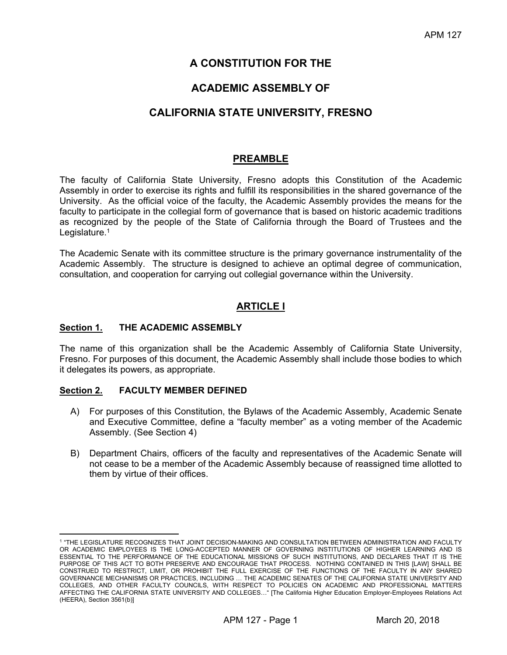# **A CONSTITUTION FOR THE**

# **ACADEMIC ASSEMBLY OF**

# **CALIFORNIA STATE UNIVERSITY, FRESNO**

# **PREAMBLE**

The faculty of California State University, Fresno adopts this Constitution of the Academic Assembly in order to exercise its rights and fulfill its responsibilities in the shared governance of the University. As the official voice of the faculty, the Academic Assembly provides the means for the faculty to participate in the collegial form of governance that is based on historic academic traditions as recognized by the people of the State of California through the Board of Trustees and the Legislature.<sup>1</sup>

The Academic Senate with its committee structure is the primary governance instrumentality of the Academic Assembly. The structure is designed to achieve an optimal degree of communication, consultation, and cooperation for carrying out collegial governance within the University.

# **ARTICLE I**

## **Section 1. THE ACADEMIC ASSEMBLY**

The name of this organization shall be the Academic Assembly of California State University, Fresno. For purposes of this document, the Academic Assembly shall include those bodies to which it delegates its powers, as appropriate.

## **Section 2. FACULTY MEMBER DEFINED**

 $\overline{a}$ 

- A) For purposes of this Constitution, the Bylaws of the Academic Assembly, Academic Senate and Executive Committee, define a "faculty member" as a voting member of the Academic Assembly. (See Section 4)
- B) Department Chairs, officers of the faculty and representatives of the Academic Senate will not cease to be a member of the Academic Assembly because of reassigned time allotted to them by virtue of their offices.

<sup>1 &</sup>quot;THE LEGISLATURE RECOGNIZES THAT JOINT DECISION-MAKING AND CONSULTATION BETWEEN ADMINISTRATION AND FACULTY OR ACADEMIC EMPLOYEES IS THE LONG-ACCEPTED MANNER OF GOVERNING INSTITUTIONS OF HIGHER LEARNING AND IS ESSENTIAL TO THE PERFORMANCE OF THE EDUCATIONAL MISSIONS OF SUCH INSTITUTIONS, AND DECLARES THAT IT IS THE PURPOSE OF THIS ACT TO BOTH PRESERVE AND ENCOURAGE THAT PROCESS. NOTHING CONTAINED IN THIS [LAW] SHALL BE CONSTRUED TO RESTRICT, LIMIT, OR PROHIBIT THE FULL EXERCISE OF THE FUNCTIONS OF THE FACULTY IN ANY SHARED GOVERNANCE MECHANISMS OR PRACTICES, INCLUDING … THE ACADEMIC SENATES OF THE CALIFORNIA STATE UNIVERSITY AND COLLEGES, AND OTHER FACULTY COUNCILS, WITH RESPECT TO POLICIES ON ACADEMIC AND PROFESSIONAL MATTERS AFFECTING THE CALIFORNIA STATE UNIVERSITY AND COLLEGES…" [The California Higher Education Employer-Employees Relations Act (HEERA), Section 3561(b)]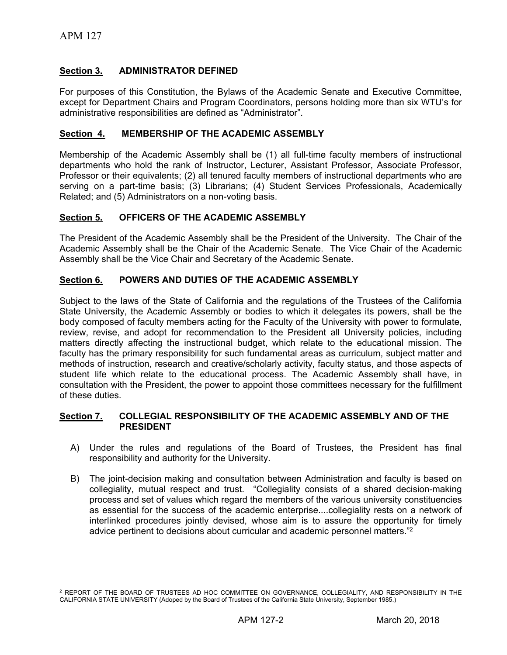## **Section 3. ADMINISTRATOR DEFINED**

For purposes of this Constitution, the Bylaws of the Academic Senate and Executive Committee, except for Department Chairs and Program Coordinators, persons holding more than six WTU's for administrative responsibilities are defined as "Administrator".

#### **Section 4. MEMBERSHIP OF THE ACADEMIC ASSEMBLY**

Membership of the Academic Assembly shall be (1) all full-time faculty members of instructional departments who hold the rank of Instructor, Lecturer, Assistant Professor, Associate Professor, Professor or their equivalents; (2) all tenured faculty members of instructional departments who are serving on a part-time basis; (3) Librarians; (4) Student Services Professionals, Academically Related; and (5) Administrators on a non-voting basis.

## **Section 5. OFFICERS OF THE ACADEMIC ASSEMBLY**

The President of the Academic Assembly shall be the President of the University. The Chair of the Academic Assembly shall be the Chair of the Academic Senate. The Vice Chair of the Academic Assembly shall be the Vice Chair and Secretary of the Academic Senate.

#### **Section 6. POWERS AND DUTIES OF THE ACADEMIC ASSEMBLY**

Subject to the laws of the State of California and the regulations of the Trustees of the California State University, the Academic Assembly or bodies to which it delegates its powers, shall be the body composed of faculty members acting for the Faculty of the University with power to formulate, review, revise, and adopt for recommendation to the President all University policies, including matters directly affecting the instructional budget, which relate to the educational mission. The faculty has the primary responsibility for such fundamental areas as curriculum, subject matter and methods of instruction, research and creative/scholarly activity, faculty status, and those aspects of student life which relate to the educational process. The Academic Assembly shall have, in consultation with the President, the power to appoint those committees necessary for the fulfillment of these duties.

#### **Section 7. COLLEGIAL RESPONSIBILITY OF THE ACADEMIC ASSEMBLY AND OF THE PRESIDENT**

- A) Under the rules and regulations of the Board of Trustees, the President has final responsibility and authority for the University.
- B) The joint-decision making and consultation between Administration and faculty is based on collegiality, mutual respect and trust. "Collegiality consists of a shared decision-making process and set of values which regard the members of the various university constituencies as essential for the success of the academic enterprise....collegiality rests on a network of interlinked procedures jointly devised, whose aim is to assure the opportunity for timely advice pertinent to decisions about curricular and academic personnel matters."<sup>2</sup>

 $\overline{a}$ 2 REPORT OF THE BOARD OF TRUSTEES AD HOC COMMITTEE ON GOVERNANCE, COLLEGIALITY, AND RESPONSIBILITY IN THE CALIFORNIA STATE UNIVERSITY (Adoped by the Board of Trustees of the California State University, September 1985.)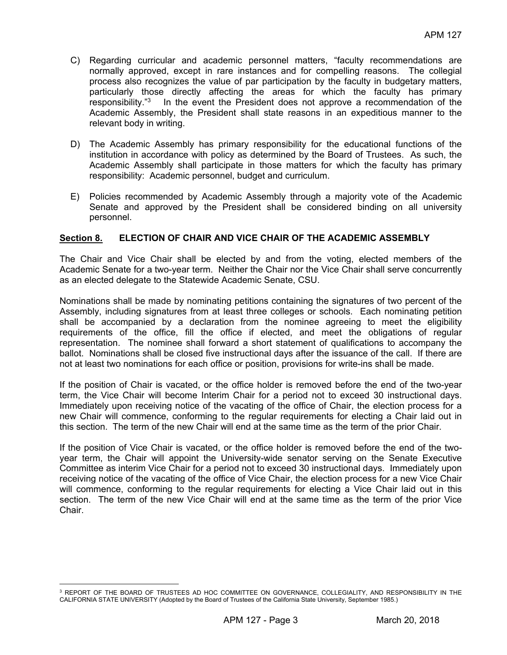- C) Regarding curricular and academic personnel matters, "faculty recommendations are normally approved, except in rare instances and for compelling reasons. The collegial process also recognizes the value of par participation by the faculty in budgetary matters, particularly those directly affecting the areas for which the faculty has primary responsibility."3 In the event the President does not approve a recommendation of the Academic Assembly, the President shall state reasons in an expeditious manner to the relevant body in writing.
- D) The Academic Assembly has primary responsibility for the educational functions of the institution in accordance with policy as determined by the Board of Trustees. As such, the Academic Assembly shall participate in those matters for which the faculty has primary responsibility: Academic personnel, budget and curriculum.
- E) Policies recommended by Academic Assembly through a majority vote of the Academic Senate and approved by the President shall be considered binding on all university personnel.

## **Section 8. ELECTION OF CHAIR AND VICE CHAIR OF THE ACADEMIC ASSEMBLY**

The Chair and Vice Chair shall be elected by and from the voting, elected members of the Academic Senate for a two-year term. Neither the Chair nor the Vice Chair shall serve concurrently as an elected delegate to the Statewide Academic Senate, CSU.

Nominations shall be made by nominating petitions containing the signatures of two percent of the Assembly, including signatures from at least three colleges or schools. Each nominating petition shall be accompanied by a declaration from the nominee agreeing to meet the eligibility requirements of the office, fill the office if elected, and meet the obligations of regular representation. The nominee shall forward a short statement of qualifications to accompany the ballot. Nominations shall be closed five instructional days after the issuance of the call. If there are not at least two nominations for each office or position, provisions for write-ins shall be made.

If the position of Chair is vacated, or the office holder is removed before the end of the two-year term, the Vice Chair will become Interim Chair for a period not to exceed 30 instructional days. Immediately upon receiving notice of the vacating of the office of Chair, the election process for a new Chair will commence, conforming to the regular requirements for electing a Chair laid out in this section. The term of the new Chair will end at the same time as the term of the prior Chair.

If the position of Vice Chair is vacated, or the office holder is removed before the end of the twoyear term, the Chair will appoint the University-wide senator serving on the Senate Executive Committee as interim Vice Chair for a period not to exceed 30 instructional days. Immediately upon receiving notice of the vacating of the office of Vice Chair, the election process for a new Vice Chair will commence, conforming to the regular requirements for electing a Vice Chair laid out in this section. The term of the new Vice Chair will end at the same time as the term of the prior Vice Chair.

 $\overline{a}$ <sup>3</sup> REPORT OF THE BOARD OF TRUSTEES AD HOC COMMITTEE ON GOVERNANCE, COLLEGIALITY, AND RESPONSIBILITY IN THE CALIFORNIA STATE UNIVERSITY (Adopted by the Board of Trustees of the California State University, September 1985.)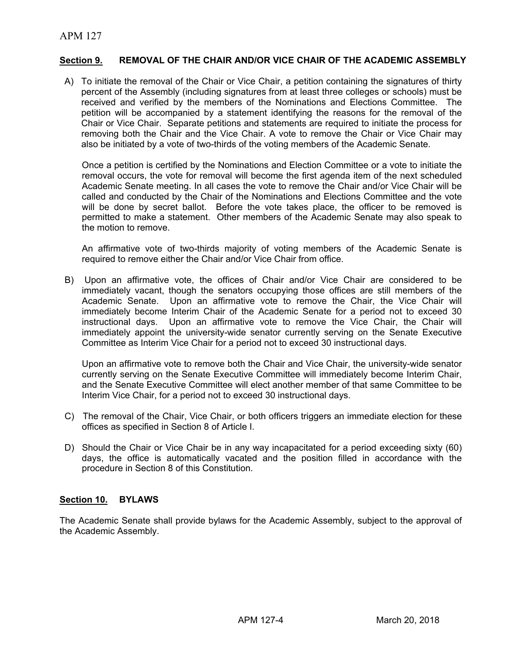## **Section 9. REMOVAL OF THE CHAIR AND/OR VICE CHAIR OF THE ACADEMIC ASSEMBLY**

A) To initiate the removal of the Chair or Vice Chair, a petition containing the signatures of thirty percent of the Assembly (including signatures from at least three colleges or schools) must be received and verified by the members of the Nominations and Elections Committee. The petition will be accompanied by a statement identifying the reasons for the removal of the Chair or Vice Chair. Separate petitions and statements are required to initiate the process for removing both the Chair and the Vice Chair. A vote to remove the Chair or Vice Chair may also be initiated by a vote of two-thirds of the voting members of the Academic Senate.

Once a petition is certified by the Nominations and Election Committee or a vote to initiate the removal occurs, the vote for removal will become the first agenda item of the next scheduled Academic Senate meeting. In all cases the vote to remove the Chair and/or Vice Chair will be called and conducted by the Chair of the Nominations and Elections Committee and the vote will be done by secret ballot. Before the vote takes place, the officer to be removed is permitted to make a statement. Other members of the Academic Senate may also speak to the motion to remove.

An affirmative vote of two-thirds majority of voting members of the Academic Senate is required to remove either the Chair and/or Vice Chair from office.

 B) Upon an affirmative vote, the offices of Chair and/or Vice Chair are considered to be immediately vacant, though the senators occupying those offices are still members of the Academic Senate. Upon an affirmative vote to remove the Chair, the Vice Chair will immediately become Interim Chair of the Academic Senate for a period not to exceed 30 instructional days. Upon an affirmative vote to remove the Vice Chair, the Chair will immediately appoint the university-wide senator currently serving on the Senate Executive Committee as Interim Vice Chair for a period not to exceed 30 instructional days.

Upon an affirmative vote to remove both the Chair and Vice Chair, the university-wide senator currently serving on the Senate Executive Committee will immediately become Interim Chair, and the Senate Executive Committee will elect another member of that same Committee to be Interim Vice Chair, for a period not to exceed 30 instructional days.

- C) The removal of the Chair, Vice Chair, or both officers triggers an immediate election for these offices as specified in Section 8 of Article I.
- D) Should the Chair or Vice Chair be in any way incapacitated for a period exceeding sixty (60) days, the office is automatically vacated and the position filled in accordance with the procedure in Section 8 of this Constitution.

## **Section 10. BYLAWS**

The Academic Senate shall provide bylaws for the Academic Assembly, subject to the approval of the Academic Assembly.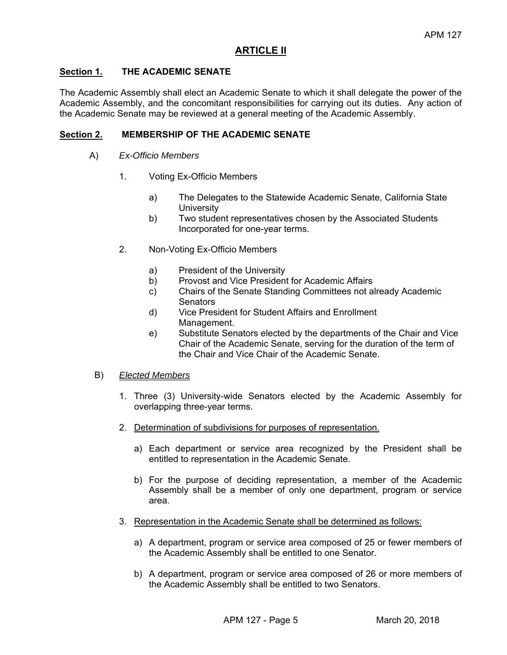# **ARTICLE II**

## **Section 1. THE ACADEMIC SENATE**

The Academic Assembly shall elect an Academic Senate to which it shall delegate the power of the Academic Assembly, and the concomitant responsibilities for carrying out its duties. Any action of the Academic Senate may be reviewed at a general meeting of the Academic Assembly.

## **Section 2. MEMBERSHIP OF THE ACADEMIC SENATE**

- A) *Ex-Officio Members* 
	- 1. Voting Ex-Officio Members
		- a) The Delegates to the Statewide Academic Senate, California State **University**
		- b) Two student representatives chosen by the Associated Students Incorporated for one-year terms.
	- 2. Non-Voting Ex-Officio Members
		- a) President of the University
		- b) Provost and Vice President for Academic Affairs
		- c) Chairs of the Senate Standing Committees not already Academic **Senators**
		- d) Vice President for Student Affairs and Enrollment Management.
		- e) Substitute Senators elected by the departments of the Chair and Vice Chair of the Academic Senate, serving for the duration of the term of the Chair and Vice Chair of the Academic Senate.

## B) *Elected Members*

- 1. Three (3) University-wide Senators elected by the Academic Assembly for overlapping three-year terms.
- 2. Determination of subdivisions for purposes of representation.
	- a) Each department or service area recognized by the President shall be entitled to representation in the Academic Senate.
	- b) For the purpose of deciding representation, a member of the Academic Assembly shall be a member of only one department, program or service area.
- 3. Representation in the Academic Senate shall be determined as follows:
	- a) A department, program or service area composed of 25 or fewer members of the Academic Assembly shall be entitled to one Senator.
	- b) A department, program or service area composed of 26 or more members of the Academic Assembly shall be entitled to two Senators.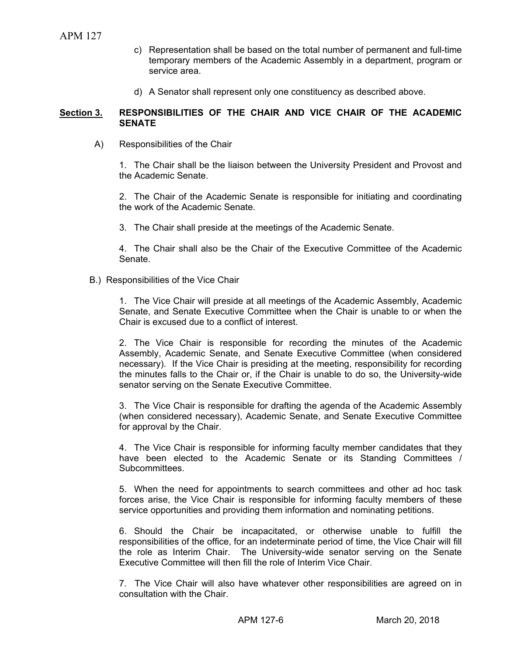- c) Representation shall be based on the total number of permanent and full-time temporary members of the Academic Assembly in a department, program or service area.
- d) A Senator shall represent only one constituency as described above.

#### **Section 3. RESPONSIBILITIES OF THE CHAIR AND VICE CHAIR OF THE ACADEMIC SENATE**

A) Responsibilities of the Chair

 1. The Chair shall be the liaison between the University President and Provost and the Academic Senate.

 2. The Chair of the Academic Senate is responsible for initiating and coordinating the work of the Academic Senate.

3. The Chair shall preside at the meetings of the Academic Senate.

 4. The Chair shall also be the Chair of the Executive Committee of the Academic Senate.

B.) Responsibilities of the Vice Chair

 1. The Vice Chair will preside at all meetings of the Academic Assembly, Academic Senate, and Senate Executive Committee when the Chair is unable to or when the Chair is excused due to a conflict of interest.

 2. The Vice Chair is responsible for recording the minutes of the Academic Assembly, Academic Senate, and Senate Executive Committee (when considered necessary). If the Vice Chair is presiding at the meeting, responsibility for recording the minutes falls to the Chair or, if the Chair is unable to do so, the University-wide senator serving on the Senate Executive Committee.

 3. The Vice Chair is responsible for drafting the agenda of the Academic Assembly (when considered necessary), Academic Senate, and Senate Executive Committee for approval by the Chair.

 4. The Vice Chair is responsible for informing faculty member candidates that they have been elected to the Academic Senate or its Standing Committees / Subcommittees.

 5. When the need for appointments to search committees and other ad hoc task forces arise, the Vice Chair is responsible for informing faculty members of these service opportunities and providing them information and nominating petitions.

 6. Should the Chair be incapacitated, or otherwise unable to fulfill the responsibilities of the office, for an indeterminate period of time, the Vice Chair will fill the role as Interim Chair. The University-wide senator serving on the Senate Executive Committee will then fill the role of Interim Vice Chair.

 7. The Vice Chair will also have whatever other responsibilities are agreed on in consultation with the Chair.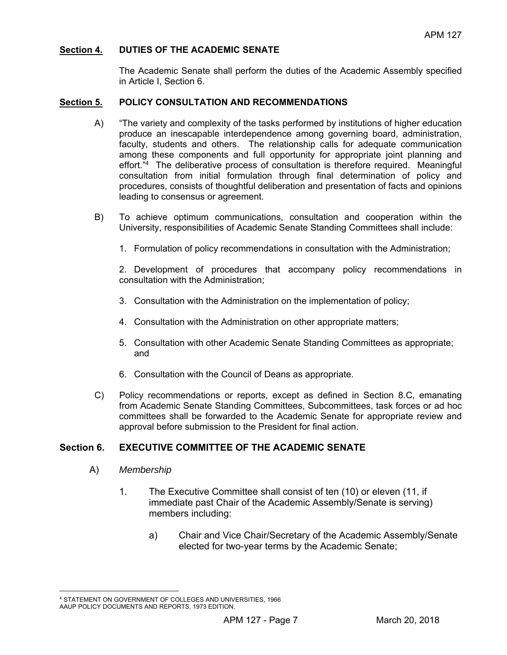## **Section 4. DUTIES OF THE ACADEMIC SENATE**

The Academic Senate shall perform the duties of the Academic Assembly specified in Article I, Section 6.

### **Section 5. POLICY CONSULTATION AND RECOMMENDATIONS**

- A) "The variety and complexity of the tasks performed by institutions of higher education produce an inescapable interdependence among governing board, administration, faculty, students and others. The relationship calls for adequate communication among these components and full opportunity for appropriate joint planning and effort."<sup>4</sup> The deliberative process of consultation is therefore required. Meaningful consultation from initial formulation through final determination of policy and procedures, consists of thoughtful deliberation and presentation of facts and opinions leading to consensus or agreement.
- B) To achieve optimum communications, consultation and cooperation within the University, responsibilities of Academic Senate Standing Committees shall include:
	- 1. Formulation of policy recommendations in consultation with the Administration;

 2. Development of procedures that accompany policy recommendations in consultation with the Administration;

- 3. Consultation with the Administration on the implementation of policy;
- 4. Consultation with the Administration on other appropriate matters;
- 5. Consultation with other Academic Senate Standing Committees as appropriate; and
- 6. Consultation with the Council of Deans as appropriate.
- C) Policy recommendations or reports, except as defined in Section 8.C, emanating from Academic Senate Standing Committees, Subcommittees, task forces or ad hoc committees shall be forwarded to the Academic Senate for appropriate review and approval before submission to the President for final action.

## **Section 6. EXECUTIVE COMMITTEE OF THE ACADEMIC SENATE**

- A) *Membership* 
	- 1. The Executive Committee shall consist of ten (10) or eleven (11, if immediate past Chair of the Academic Assembly/Senate is serving) members including:
		- a) Chair and Vice Chair/Secretary of the Academic Assembly/Senate elected for two-year terms by the Academic Senate;

 $\overline{a}$ 4 STATEMENT ON GOVERNMENT OF COLLEGES AND UNIVERSITIES, 1966 AAUP POLICY DOCUMENTS AND REPORTS, 1973 EDITION.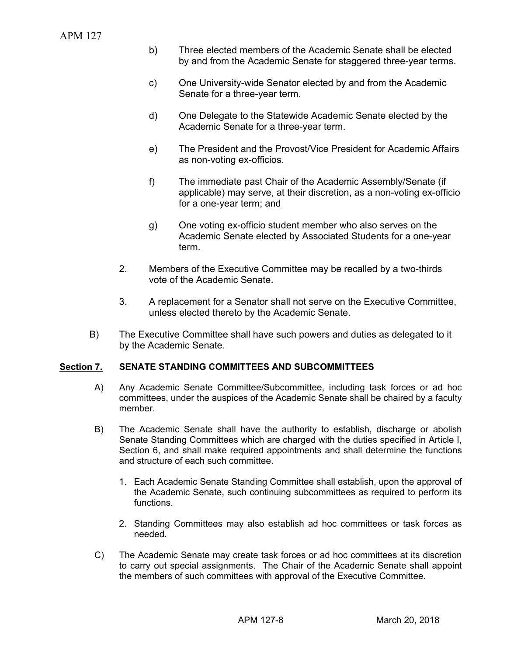- b) Three elected members of the Academic Senate shall be elected by and from the Academic Senate for staggered three-year terms.
- c) One University-wide Senator elected by and from the Academic Senate for a three-year term.
- d) One Delegate to the Statewide Academic Senate elected by the Academic Senate for a three-year term.
- e) The President and the Provost/Vice President for Academic Affairs as non-voting ex-officios.
- f) The immediate past Chair of the Academic Assembly/Senate (if applicable) may serve, at their discretion, as a non-voting ex-officio for a one-year term; and
- g) One voting ex-officio student member who also serves on the Academic Senate elected by Associated Students for a one-year term.
- 2. Members of the Executive Committee may be recalled by a two-thirds vote of the Academic Senate.
- 3. A replacement for a Senator shall not serve on the Executive Committee, unless elected thereto by the Academic Senate.
- B) The Executive Committee shall have such powers and duties as delegated to it by the Academic Senate.

## **Section 7. SENATE STANDING COMMITTEES AND SUBCOMMITTEES**

- A) Any Academic Senate Committee/Subcommittee, including task forces or ad hoc committees, under the auspices of the Academic Senate shall be chaired by a faculty member.
- B) The Academic Senate shall have the authority to establish, discharge or abolish Senate Standing Committees which are charged with the duties specified in Article I, Section 6, and shall make required appointments and shall determine the functions and structure of each such committee.
	- 1. Each Academic Senate Standing Committee shall establish, upon the approval of the Academic Senate, such continuing subcommittees as required to perform its functions.
	- 2. Standing Committees may also establish ad hoc committees or task forces as needed.
- C) The Academic Senate may create task forces or ad hoc committees at its discretion to carry out special assignments. The Chair of the Academic Senate shall appoint the members of such committees with approval of the Executive Committee.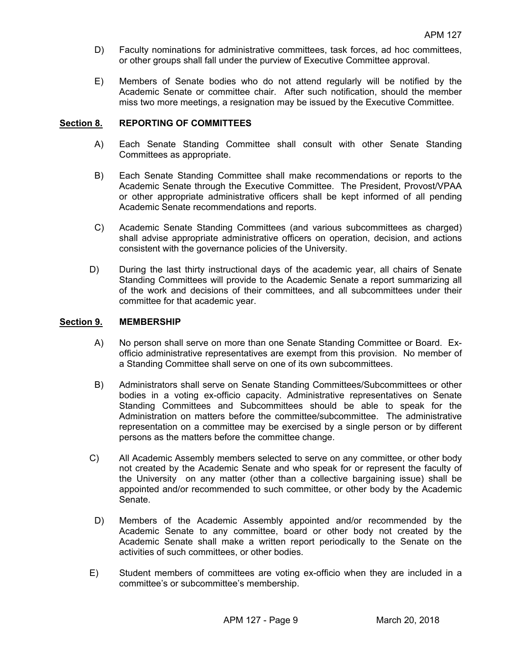- D) Faculty nominations for administrative committees, task forces, ad hoc committees, or other groups shall fall under the purview of Executive Committee approval.
- E) Members of Senate bodies who do not attend regularly will be notified by the Academic Senate or committee chair. After such notification, should the member miss two more meetings, a resignation may be issued by the Executive Committee.

#### **Section 8. REPORTING OF COMMITTEES**

- A) Each Senate Standing Committee shall consult with other Senate Standing Committees as appropriate.
- B) Each Senate Standing Committee shall make recommendations or reports to the Academic Senate through the Executive Committee. The President, Provost/VPAA or other appropriate administrative officers shall be kept informed of all pending Academic Senate recommendations and reports.
- C) Academic Senate Standing Committees (and various subcommittees as charged) shall advise appropriate administrative officers on operation, decision, and actions consistent with the governance policies of the University.
- D) During the last thirty instructional days of the academic year, all chairs of Senate Standing Committees will provide to the Academic Senate a report summarizing all of the work and decisions of their committees, and all subcommittees under their committee for that academic year.

#### **Section 9. MEMBERSHIP**

- A) No person shall serve on more than one Senate Standing Committee or Board. Exofficio administrative representatives are exempt from this provision. No member of a Standing Committee shall serve on one of its own subcommittees.
- B) Administrators shall serve on Senate Standing Committees/Subcommittees or other bodies in a voting ex-officio capacity. Administrative representatives on Senate Standing Committees and Subcommittees should be able to speak for the Administration on matters before the committee/subcommittee. The administrative representation on a committee may be exercised by a single person or by different persons as the matters before the committee change.
- C) All Academic Assembly members selected to serve on any committee, or other body not created by the Academic Senate and who speak for or represent the faculty of the University on any matter (other than a collective bargaining issue) shall be appointed and/or recommended to such committee, or other body by the Academic Senate.
- D) Members of the Academic Assembly appointed and/or recommended by the Academic Senate to any committee, board or other body not created by the Academic Senate shall make a written report periodically to the Senate on the activities of such committees, or other bodies.
- E) Student members of committees are voting ex-officio when they are included in a committee's or subcommittee's membership.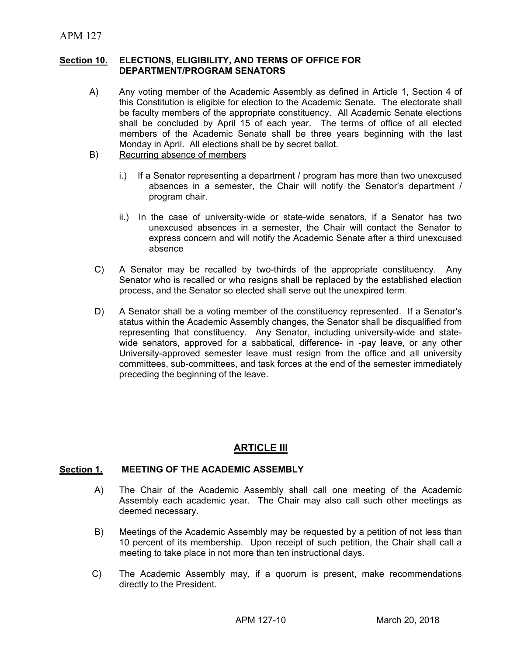#### **Section 10. ELECTIONS, ELIGIBILITY, AND TERMS OF OFFICE FOR DEPARTMENT/PROGRAM SENATORS**

- A) Any voting member of the Academic Assembly as defined in Article 1, Section 4 of this Constitution is eligible for election to the Academic Senate. The electorate shall be faculty members of the appropriate constituency. All Academic Senate elections shall be concluded by April 15 of each year. The terms of office of all elected members of the Academic Senate shall be three years beginning with the last Monday in April. All elections shall be by secret ballot.
- B) Recurring absence of members
	- i.) If a Senator representing a department / program has more than two unexcused absences in a semester, the Chair will notify the Senator's department / program chair.
	- ii.) In the case of university-wide or state-wide senators, if a Senator has two unexcused absences in a semester, the Chair will contact the Senator to express concern and will notify the Academic Senate after a third unexcused absence
- C) A Senator may be recalled by two-thirds of the appropriate constituency. Any Senator who is recalled or who resigns shall be replaced by the established election process, and the Senator so elected shall serve out the unexpired term.
- D) A Senator shall be a voting member of the constituency represented. If a Senator's status within the Academic Assembly changes, the Senator shall be disqualified from representing that constituency. Any Senator, including university-wide and statewide senators, approved for a sabbatical, difference- in -pay leave, or any other University-approved semester leave must resign from the office and all university committees, sub-committees, and task forces at the end of the semester immediately preceding the beginning of the leave.

# **ARTICLE III**

## **Section 1. MEETING OF THE ACADEMIC ASSEMBLY**

- A) The Chair of the Academic Assembly shall call one meeting of the Academic Assembly each academic year. The Chair may also call such other meetings as deemed necessary.
- B) Meetings of the Academic Assembly may be requested by a petition of not less than 10 percent of its membership. Upon receipt of such petition, the Chair shall call a meeting to take place in not more than ten instructional days.
- C) The Academic Assembly may, if a quorum is present, make recommendations directly to the President.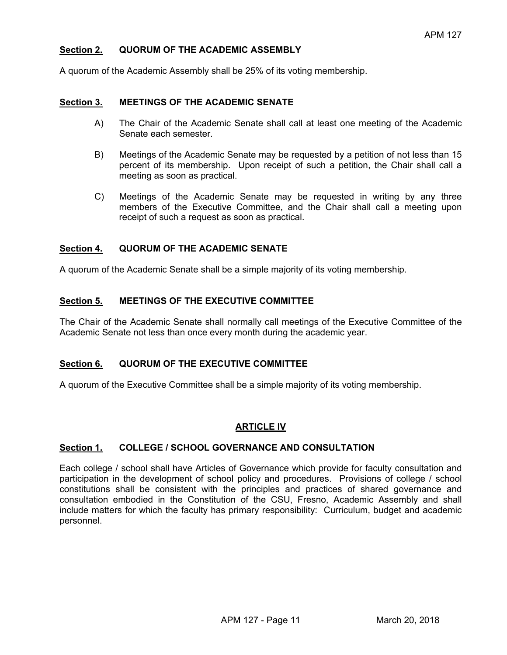## **Section 2. QUORUM OF THE ACADEMIC ASSEMBLY**

A quorum of the Academic Assembly shall be 25% of its voting membership.

#### **Section 3. MEETINGS OF THE ACADEMIC SENATE**

- A) The Chair of the Academic Senate shall call at least one meeting of the Academic Senate each semester.
- B) Meetings of the Academic Senate may be requested by a petition of not less than 15 percent of its membership. Upon receipt of such a petition, the Chair shall call a meeting as soon as practical.
- C) Meetings of the Academic Senate may be requested in writing by any three members of the Executive Committee, and the Chair shall call a meeting upon receipt of such a request as soon as practical.

## **Section 4. QUORUM OF THE ACADEMIC SENATE**

A quorum of the Academic Senate shall be a simple majority of its voting membership.

## **Section 5. MEETINGS OF THE EXECUTIVE COMMITTEE**

The Chair of the Academic Senate shall normally call meetings of the Executive Committee of the Academic Senate not less than once every month during the academic year.

## **Section 6. QUORUM OF THE EXECUTIVE COMMITTEE**

A quorum of the Executive Committee shall be a simple majority of its voting membership.

## **ARTICLE IV**

#### **Section 1. COLLEGE / SCHOOL GOVERNANCE AND CONSULTATION**

Each college / school shall have Articles of Governance which provide for faculty consultation and participation in the development of school policy and procedures. Provisions of college / school constitutions shall be consistent with the principles and practices of shared governance and consultation embodied in the Constitution of the CSU, Fresno, Academic Assembly and shall include matters for which the faculty has primary responsibility: Curriculum, budget and academic personnel.